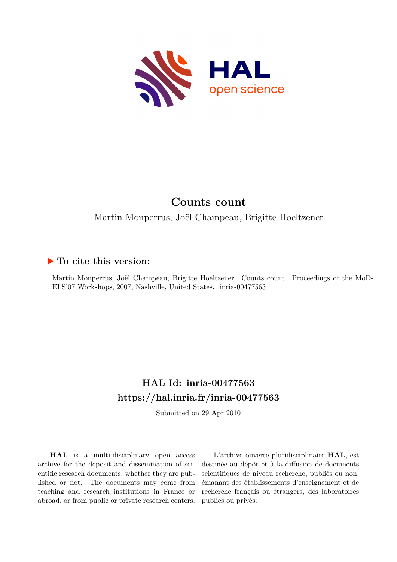

# **Counts count**

Martin Monperrus, Joël Champeau, Brigitte Hoeltzener

## **To cite this version:**

Martin Monperrus, Joël Champeau, Brigitte Hoeltzener. Counts count. Proceedings of the MoD-ELS'07 Workshops, 2007, Nashville, United States. inria-00477563

## **HAL Id: inria-00477563 <https://hal.inria.fr/inria-00477563>**

Submitted on 29 Apr 2010

**HAL** is a multi-disciplinary open access archive for the deposit and dissemination of scientific research documents, whether they are published or not. The documents may come from teaching and research institutions in France or abroad, or from public or private research centers.

L'archive ouverte pluridisciplinaire **HAL**, est destinée au dépôt et à la diffusion de documents scientifiques de niveau recherche, publiés ou non, émanant des établissements d'enseignement et de recherche français ou étrangers, des laboratoires publics ou privés.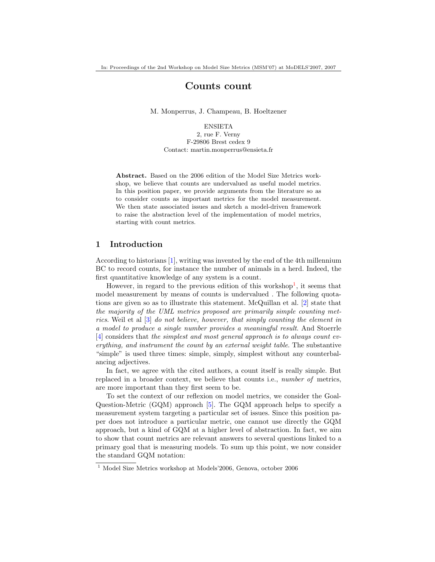## Counts count

M. Monperrus, J. Champeau, B. Hoeltzener

ENSIETA 2, rue F. Verny F-29806 Brest cedex 9 Contact: martin.monperrus@ensieta.fr

Abstract. Based on the 2006 edition of the Model Size Metrics workshop, we believe that counts are undervalued as useful model metrics. In this position paper, we provide arguments from the literature so as to consider counts as important metrics for the model measurement. We then state associated issues and sketch a model-driven framework to raise the abstraction level of the implementation of model metrics, starting with count metrics.

## 1 Introduction

According to historians [\[1\]](#page-7-0), writing was invented by the end of the 4th millennium BC to record counts, for instance the number of animals in a herd. Indeed, the first quantitative knowledge of any system is a count.

However, in regard to the previous edition of this workshop<sup>[1](#page-1-0)</sup>, it seems that model measurement by means of counts is undervalued . The following quotations are given so as to illustrate this statement. McQuillan et al. [\[2\]](#page-8-0) state that the majority of the UML metrics proposed are primarily simple counting metrics. Weil et al [\[3\]](#page-8-1) do not believe, however, that simply counting the element in a model to produce a single number provides a meaningful result. And Stoerrle [\[4\]](#page-8-2) considers that the simplest and most general approach is to always count everything, and instrument the count by an external weight table. The substantive "simple" is used three times: simple, simply, simplest without any counterbalancing adjectives.

In fact, we agree with the cited authors, a count itself is really simple. But replaced in a broader context, we believe that counts i.e., number of metrics, are more important than they first seem to be.

To set the context of our reflexion on model metrics, we consider the Goal-Question-Metric (GQM) approach [\[5\]](#page-8-3). The GQM approach helps to specify a measurement system targeting a particular set of issues. Since this position paper does not introduce a particular metric, one cannot use directly the GQM approach, but a kind of GQM at a higher level of abstraction. In fact, we aim to show that count metrics are relevant answers to several questions linked to a primary goal that is measuring models. To sum up this point, we now consider the standard GQM notation:

<span id="page-1-0"></span><sup>1</sup> Model Size Metrics workshop at Models'2006, Genova, october 2006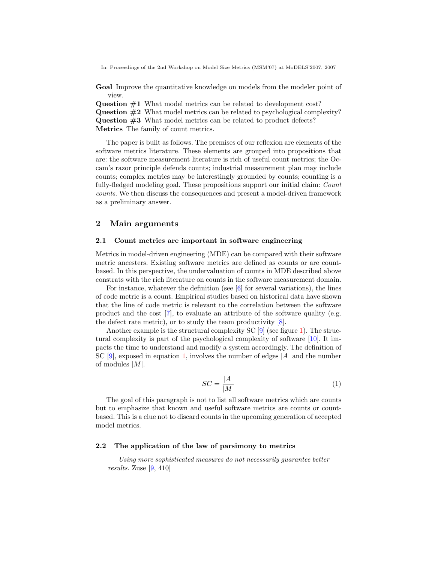Goal Improve the quantitative knowledge on models from the modeler point of view.

Question #1 What model metrics can be related to development cost?

Question #2 What model metrics can be related to psychological complexity? Question #3 What model metrics can be related to product defects?

Metrics The family of count metrics.

The paper is built as follows. The premises of our reflexion are elements of the software metrics literature. These elements are grouped into propositions that are: the software measurement literature is rich of useful count metrics; the Occam's razor principle defends counts; industrial measurement plan may include counts; complex metrics may be interestingly grounded by counts; counting is a fully-fledged modeling goal. These propositions support our initial claim: Count counts. We then discuss the consequences and present a model-driven framework as a preliminary answer.

## 2 Main arguments

#### 2.1 Count metrics are important in software engineering

Metrics in model-driven engineering (MDE) can be compared with their software metric ancesters. Existing software metrics are defined as counts or are countbased. In this perspective, the undervaluation of counts in MDE described above constrats with the rich literature on counts in the software measurement domain.

For instance, whatever the definition (see  $[6]$  for several variations), the lines of code metric is a count. Empirical studies based on historical data have shown that the line of code metric is relevant to the correlation between the software product and the cost [\[7\]](#page-8-5), to evaluate an attribute of the software quality (e.g. the defect rate metric), or to study the team productivity [\[8\]](#page-8-6).

Another example is the structural complexity  $SC$  [\[9\]](#page-8-7) (see figure [1\)](#page-3-0). The structural complexity is part of the psychological complexity of software [\[10\]](#page-8-8). It impacts the time to understand and modify a system accordingly. The definition of SC [\[9\]](#page-8-7), exposed in equation [1,](#page-2-0) involves the number of edges  $|A|$  and the number of modules  $|M|$ .

<span id="page-2-0"></span>
$$
SC = \frac{|A|}{|M|} \tag{1}
$$

The goal of this paragraph is not to list all software metrics which are counts but to emphasize that known and useful software metrics are counts or countbased. This is a clue not to discard counts in the upcoming generation of accepted model metrics.

#### 2.2 The application of the law of parsimony to metrics

Using more sophisticated measures do not necessarily guarantee better results. Zuse [\[9,](#page-8-7) 410]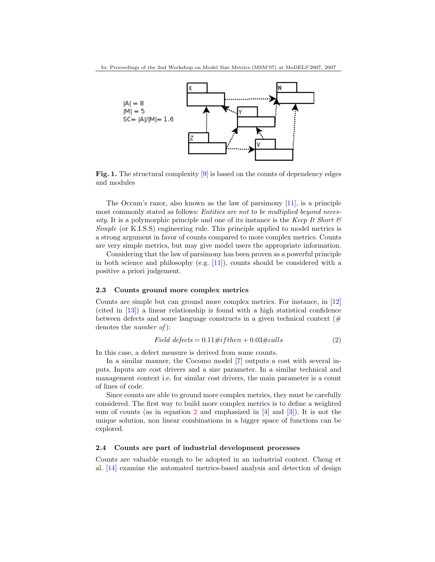

<span id="page-3-0"></span>Fig. 1. The structural complexity [\[9\]](#page-8-7) is based on the counts of dependency edges and modules

The Occam's razor, also known as the law of parsimony [\[11\]](#page-8-9), is a principle most commonly stated as follows: *Entities are not to be multiplied beyond neces*sity. It is a polymorphic principle and one of its instance is the Keep It Short  $\mathcal C$ Simple (or K.I.S.S) engineering rule. This principle applied to model metrics is a strong argument in favor of counts compared to more complex metrics. Counts are very simple metrics, but may give model users the appropriate information.

Considering that the law of parsimony has been proven as a powerful principle in both science and philosophy (e.g. [\[11\]](#page-8-9)), counts should be considered with a positive a priori judgement.

#### 2.3 Counts ground more complex metrics

Counts are simple but can ground more complex metrics. For instance, in [\[12\]](#page-8-10) (cited in [\[13\]](#page-8-11)) a linear relationship is found with a high statistical confidence between defects and some language constructs in a given technical context  $(\#$ denotes the *number* of:

<span id="page-3-1"></span>
$$
Field\ defects = 0.11\# if then + 0.03\# calls \tag{2}
$$

In this case, a defect measure is derived from some counts.

In a similar manner, the Cocomo model [\[7\]](#page-8-5) outputs a cost with several inputs. Inputs are cost drivers and a size parameter. In a similar technical and management context i.e. for similar cost drivers, the main parameter is a count of lines of code.

Since counts are able to ground more complex metrics, they must be carefully considered. The first way to build more complex metrics is to define a weighted sum of counts (as in equation [2](#page-3-1) and emphasized in  $[4]$  and  $[3]$ ). It is not the unique solution, non linear combinations in a bigger space of functions can be explored.

#### 2.4 Counts are part of industrial development processes

Counts are valuable enough to be adopted in an industrial context. Cheng et al. [\[14\]](#page-8-12) examine the automated metrics-based analysis and detection of design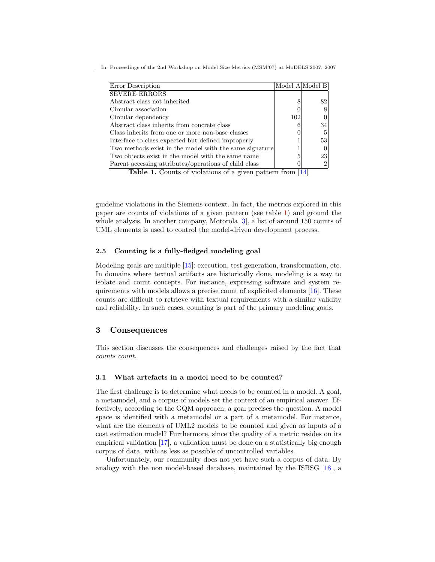In: Proceedings of the 2nd Workshop on Model Size Metrics (MSM'07) at MoDELS'2007, 2007

| Error Description                                      |     | Model A Model B |
|--------------------------------------------------------|-----|-----------------|
| <b>SEVERE ERRORS</b>                                   |     |                 |
| Abstract class not inherited                           | 8   | 82              |
| Circular association                                   |     |                 |
| Circular dependency                                    | 102 |                 |
| Abstract class inherits from concrete class            |     | 34              |
| Class inherits from one or more non-base classes       |     |                 |
| Interface to class expected but defined improperly     |     | 53              |
| Two methods exist in the model with the same signature |     |                 |
| Two objects exist in the model with the same name      | 5   | 23              |
| Parent accessing attributes/operations of child class  |     |                 |

<span id="page-4-0"></span>Table 1. Counts of violations of a given pattern from [\[14\]](#page-8-12)

guideline violations in the Siemens context. In fact, the metrics explored in this paper are counts of violations of a given pattern (see table [1\)](#page-4-0) and ground the whole analysis. In another company, Motorola [\[3\]](#page-8-1), a list of around 150 counts of UML elements is used to control the model-driven development process.

#### 2.5 Counting is a fully-fledged modeling goal

Modeling goals are multiple  $[15]$ : execution, test generation, transformation, etc. In domains where textual artifacts are historically done, modeling is a way to isolate and count concepts. For instance, expressing software and system requirements with models allows a precise count of explicited elements [\[16\]](#page-8-14). These counts are difficult to retrieve with textual requirements with a similar validity and reliability. In such cases, counting is part of the primary modeling goals.

## 3 Consequences

This section discusses the consequences and challenges raised by the fact that counts count.

#### 3.1 What artefacts in a model need to be counted?

The first challenge is to determine what needs to be counted in a model. A goal, a metamodel, and a corpus of models set the context of an empirical answer. Effectively, according to the GQM approach, a goal precises the question. A model space is identified with a metamodel or a part of a metamodel. For instance, what are the elements of UML2 models to be counted and given as inputs of a cost estimation model? Furthermore, since the quality of a metric resides on its empirical validation [\[17\]](#page-8-15), a validation must be done on a statistically big enough corpus of data, with as less as possible of uncontrolled variables.

Unfortunately, our community does not yet have such a corpus of data. By analogy with the non model-based database, maintained by the ISBSG [\[18\]](#page-8-16), a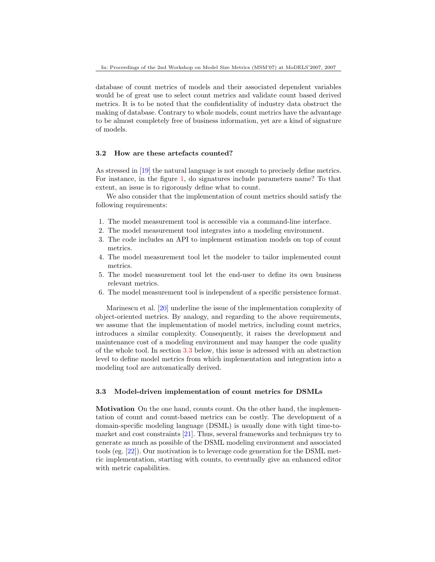database of count metrics of models and their associated dependent variables would be of great use to select count metrics and validate count based derived metrics. It is to be noted that the confidentiality of industry data obstruct the making of database. Contrary to whole models, count metrics have the advantage to be almost completely free of business information, yet are a kind of signature of models.

#### 3.2 How are these artefacts counted?

As stressed in [\[19\]](#page-8-17) the natural language is not enough to precisely define metrics. For instance, in the figure [1,](#page-4-0) do signatures include parameters name? To that extent, an issue is to rigorously define what to count.

We also consider that the implementation of count metrics should satisfy the following requirements:

- 1. The model measurement tool is accessible via a command-line interface.
- 2. The model measurement tool integrates into a modeling environment.
- 3. The code includes an API to implement estimation models on top of count metrics.
- 4. The model measurement tool let the modeler to tailor implemented count metrics.
- 5. The model measurement tool let the end-user to define its own business relevant metrics.
- 6. The model measurement tool is independent of a specific persistence format.

Marinescu et al. [\[20\]](#page-8-18) underline the issue of the implementation complexity of object-oriented metrics. By analogy, and regarding to the above requirements, we assume that the implementation of model metrics, including count metrics, introduces a similar complexity. Consequently, it raises the development and maintenance cost of a modeling environment and may hamper the code quality of the whole tool. In section [3.3](#page-5-0) below, this issue is adressed with an abstraction level to define model metrics from which implementation and integration into a modeling tool are automatically derived.

#### <span id="page-5-0"></span>3.3 Model-driven implementation of count metrics for DSMLs

Motivation On the one hand, counts count. On the other hand, the implementation of count and count-based metrics can be costly. The development of a domain-specific modeling language (DSML) is usually done with tight time-tomarket and cost constraints [\[21\]](#page-8-19). Thus, several frameworks and techniques try to generate as much as possible of the DSML modeling environment and associated tools (eg. [\[22\]](#page-8-20)). Our motivation is to leverage code generation for the DSML metric implementation, starting with counts, to eventually give an enhanced editor with metric capabilities.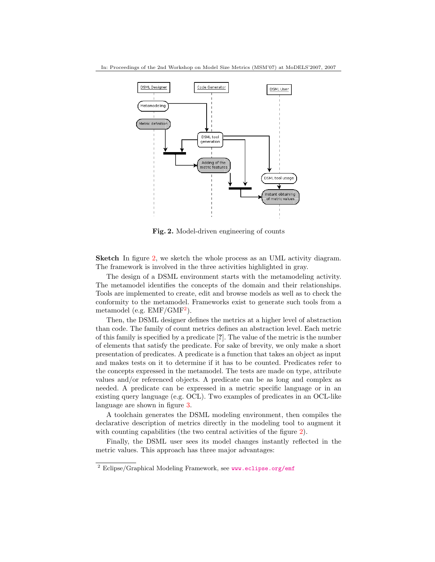

<span id="page-6-0"></span>Fig. 2. Model-driven engineering of counts

Sketch In figure [2,](#page-6-0) we sketch the whole process as an UML activity diagram. The framework is involved in the three activities highlighted in gray.

The design of a DSML environment starts with the metamodeling activity. The metamodel identifies the concepts of the domain and their relationships. Tools are implemented to create, edit and browse models as well as to check the conformity to the metamodel. Frameworks exist to generate such tools from a metamodel (e.g.  $EMF/GMF<sup>2</sup>$  $EMF/GMF<sup>2</sup>$  $EMF/GMF<sup>2</sup>$ ).

Then, the DSML designer defines the metrics at a higher level of abstraction than code. The family of count metrics defines an abstraction level. Each metric of this family is specified by a predicate [?]. The value of the metric is the number of elements that satisfy the predicate. For sake of brevity, we only make a short presentation of predicates. A predicate is a function that takes an object as input and makes tests on it to determine if it has to be counted. Predicates refer to the concepts expressed in the metamodel. The tests are made on type, attribute values and/or referenced objects. A predicate can be as long and complex as needed. A predicate can be expressed in a metric specific language or in an existing query language (e.g. OCL). Two examples of predicates in an OCL-like language are shown in figure [3.](#page-7-1)

A toolchain generates the DSML modeling environment, then compiles the declarative description of metrics directly in the modeling tool to augment it with counting capabilities (the two central activities of the figure [2\)](#page-6-0).

Finally, the DSML user sees its model changes instantly reflected in the metric values. This approach has three major advantages:

<span id="page-6-1"></span><sup>2</sup> Eclipse/Graphical Modeling Framework, see <www.eclipse.org/emf>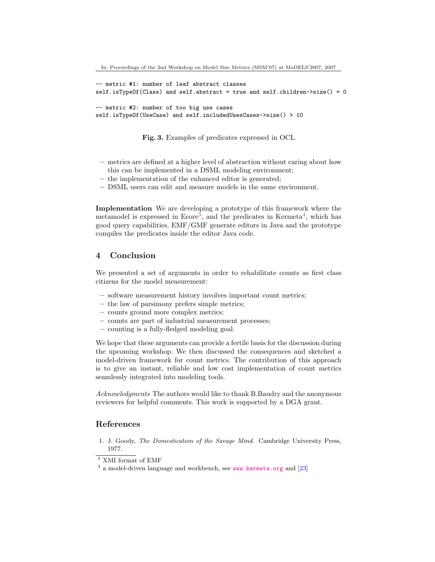```
-- metric #1: number of leaf abstract classes
self.isTypeOf(Class) and self.abstract = true and self.children->size() = 0
-- metric #2: number of too big use cases
self.isTypeOf(UseCase) and self.includedUsesCases->size() > 10
```
<span id="page-7-1"></span>Fig. 3. Examples of predicates expressed in OCL

- metrics are defined at a higher level of abstraction without caring about how this can be implemented in a DSML modeling environment;
- the implementation of the enhanced editor is generated;
- DSML users can edit and measure models in the same environment.

Implementation We are developing a prototype of this framework where the metamodel is expressed in Ecore<sup>[3](#page-7-2)</sup>, and the predicates in Kermeta<sup>[4](#page-7-3)</sup>, which has good query capabilities. EMF/GMF generate editors in Java and the prototype compiles the predicates inside the editor Java code.

## 4 Conclusion

We presented a set of arguments in order to rehabilitate counts as first class citizens for the model measurement:

- software measurement history involves important count metrics;
- the law of parsimony prefers simple metrics;
- counts ground more complex metrics;
- counts are part of industrial measurement processes;
- counting is a fully-fledged modeling goal.

We hope that these arguments can provide a fertile basis for the discussion during the upcoming workshop. We then discussed the consequences and sketched a model-driven framework for count metrics. The contribution of this approach is to give an instant, reliable and low cost implementation of count metrics seamlessly integrated into modeling tools.

Acknowledgments The authors would like to thank B.Baudry and the anonymous reviewers for helpful comments. This work is supported by a DGA grant.

### References

<span id="page-7-0"></span>1. J. Goody, *The Domestication of the Savage Mind*. Cambridge University Press, 1977.

<span id="page-7-2"></span><sup>&</sup>lt;sup>3</sup> XMI format of EMF

<span id="page-7-3"></span><sup>&</sup>lt;sup>4</sup> a model-driven language and workbench, see <www.kermeta.org> and [\[23\]](#page-8-21)